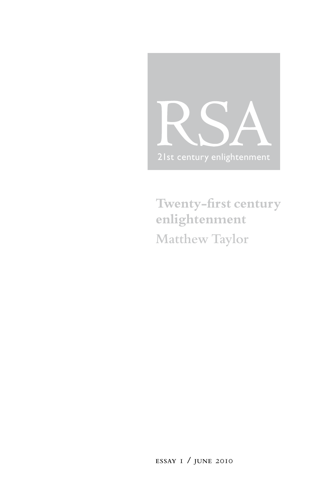

**Twenty-first century enlightenment Matthew Taylor**

**essay** 1 **/ june** 2010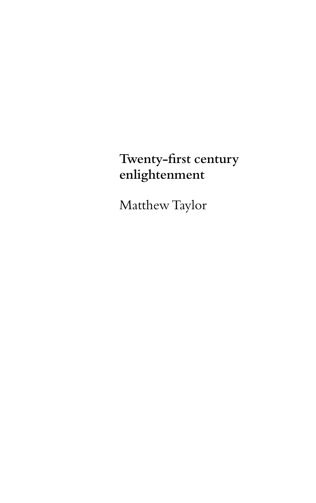# **Twenty-first century enlightenment**

Matthew Taylor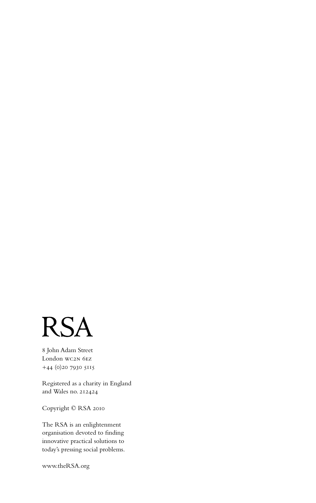

8 John Adam Street London wc2n 6ez +44 (0)20 7930 5115

Registered as a charity in England and Wales no. 212424

Copyright © RSA 2010

The RSA is an enlightenment organisation devoted to finding innovative practical solutions to today's pressing social problems.

www.theRSA.org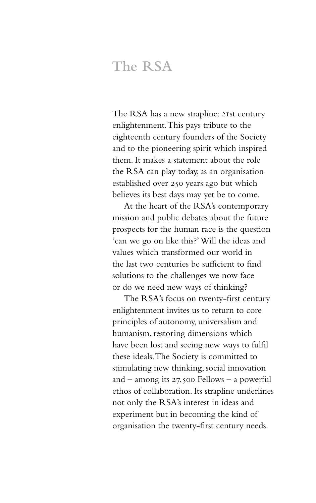## **The RSA**

The RSA has a new strapline: 21st century enlightenment. This pays tribute to the eighteenth century founders of the Society and to the pioneering spirit which inspired them. It makes a statement about the role the RSA can play today, as an organisation established over 250 years ago but which believes its best days may yet be to come.

At the heart of the RSA's contemporary mission and public debates about the future prospects for the human race is the question 'can we go on like this?' Will the ideas and values which transformed our world in the last two centuries be sufficient to find solutions to the challenges we now face or do we need new ways of thinking?

The RSA's focus on twenty-first century enlightenment invites us to return to core principles of autonomy, universalism and humanism, restoring dimensions which have been lost and seeing new ways to fulfil these ideals. The Society is committed to stimulating new thinking, social innovation and – among its  $27,500$  Fellows – a powerful ethos of collaboration. Its strapline underlines not only the RSA's interest in ideas and experiment but in becoming the kind of organisation the twenty-first century needs.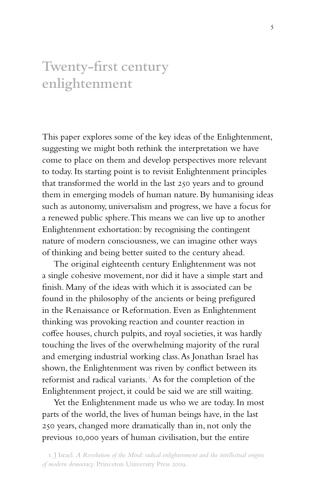# **Twenty-first century enlightenment**

This paper explores some of the key ideas of the Enlightenment, suggesting we might both rethink the interpretation we have come to place on them and develop perspectives more relevant to today. Its starting point is to revisit Enlightenment principles that transformed the world in the last 250 years and to ground them in emerging models of human nature. By humanising ideas such as autonomy, universalism and progress, we have a focus for a renewed public sphere. This means we can live up to another Enlightenment exhortation: by recognising the contingent nature of modern consciousness, we can imagine other ways of thinking and being better suited to the century ahead.

The original eighteenth century Enlightenment was not a single cohesive movement, nor did it have a simple start and finish. Many of the ideas with which it is associated can be found in the philosophy of the ancients or being prefigured in the Renaissance or Reformation. Even as Enlightenment thinking was provoking reaction and counter reaction in coffee houses, church pulpits, and royal societies, it was hardly touching the lives of the overwhelming majority of the rural and emerging industrial working class. As Jonathan Israel has shown, the Enlightenment was riven by conflict between its reformist and radical variants.<sup>1</sup> As for the completion of the Enlightenment project, it could be said we are still waiting.

Yet the Enlightenment made us who we are today. In most parts of the world, the lives of human beings have, in the last 250 years, changed more dramatically than in, not only the previous 10,000 years of human civilisation, but the entire

<sup>1.</sup> J Israel. *A Revolution of the Mind: radical enlightenment and the intellectual origins of modern democracy*. Princeton University Press 2009.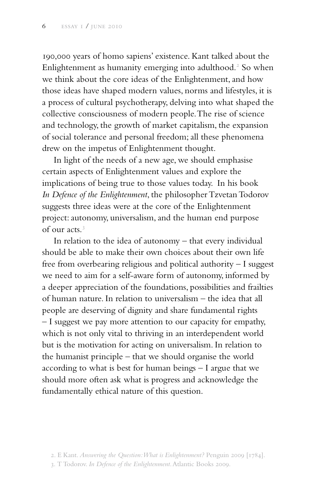190,000 years of homo sapiens' existence. Kant talked about the Enlightenment as humanity emerging into adulthood.<sup>2</sup> So when we think about the core ideas of the Enlightenment, and how those ideas have shaped modern values, norms and lifestyles, it is a process of cultural psychotherapy, delving into what shaped the collective consciousness of modern people. The rise of science and technology, the growth of market capitalism, the expansion of social tolerance and personal freedom; all these phenomena drew on the impetus of Enlightenment thought.

In light of the needs of a new age, we should emphasise certain aspects of Enlightenment values and explore the implications of being true to those values today. In his book *In Defence of the Enlightenment*, the philosopher Tzvetan Todorov suggests three ideas were at the core of the Enlightenment project: autonomy, universalism, and the human end purpose of our acts.3

In relation to the idea of autonomy – that every individual should be able to make their own choices about their own life free from overbearing religious and political authority – I suggest we need to aim for a self-aware form of autonomy, informed by a deeper appreciation of the foundations, possibilities and frailties of human nature. In relation to universalism – the idea that all people are deserving of dignity and share fundamental rights – I suggest we pay more attention to our capacity for empathy, which is not only vital to thriving in an interdependent world but is the motivation for acting on universalism. In relation to the humanist principle – that we should organise the world according to what is best for human beings – I argue that we should more often ask what is progress and acknowledge the fundamentally ethical nature of this question.

<sup>2.</sup> E Kant. *Answering the Question: What is Enlightenment?* Penguin 2009 [1784].

<sup>3.</sup> T Todorov. *In Defence of the Enlightenment*. Atlantic Books 2009.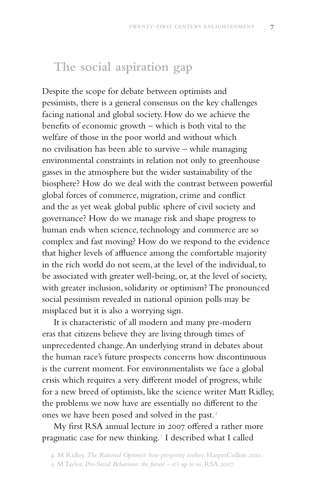## **The social aspiration gap**

Despite the scope for debate between optimists and pessimists, there is a general consensus on the key challenges facing national and global society. How do we achieve the benefits of economic growth – which is both vital to the welfare of those in the poor world and without which no civilisation has been able to survive – while managing environmental constraints in relation not only to greenhouse gasses in the atmosphere but the wider sustainability of the biosphere? How do we deal with the contrast between powerful global forces of commerce, migration, crime and conflict and the as yet weak global public sphere of civil society and governance? How do we manage risk and shape progress to human ends when science, technology and commerce are so complex and fast moving? How do we respond to the evidence that higher levels of affluence among the comfortable majority in the rich world do not seem, at the level of the individual, to be associated with greater well-being, or, at the level of society, with greater inclusion, solidarity or optimism? The pronounced social pessimism revealed in national opinion polls may be misplaced but it is also a worrying sign.

It is characteristic of all modern and many pre-modern eras that citizens believe they are living through times of unprecedented change. An underlying strand in debates about the human race's future prospects concerns how discontinuous is the current moment. For environmentalists we face a global crisis which requires a very different model of progress, while for a new breed of optimists, like the science writer Matt Ridley, the problems we now have are essentially no different to the ones we have been posed and solved in the past.4

My first RSA annual lecture in 2007 offered a rather more pragmatic case for new thinking.<sup>5</sup> I described what I called

<sup>4.</sup> M Ridley. *The Rational Optimist: how prosperity evolves*. HarperCollins 2010.

<sup>5.</sup> M Taylor. *Pro-Social Behaviour: the future – it's up to us*. RSA 2007.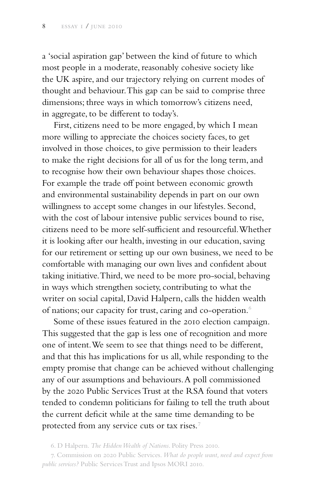a 'social aspiration gap' between the kind of future to which most people in a moderate, reasonably cohesive society like the UK aspire, and our trajectory relying on current modes of thought and behaviour. This gap can be said to comprise three dimensions; three ways in which tomorrow's citizens need, in aggregate, to be different to today's.

First, citizens need to be more engaged, by which I mean more willing to appreciate the choices society faces, to get involved in those choices, to give permission to their leaders to make the right decisions for all of us for the long term, and to recognise how their own behaviour shapes those choices. For example the trade off point between economic growth and environmental sustainability depends in part on our own willingness to accept some changes in our lifestyles. Second, with the cost of labour intensive public services bound to rise, citizens need to be more self-sufficient and resourceful. Whether it is looking after our health, investing in our education, saving for our retirement or setting up our own business, we need to be comfortable with managing our own lives and confident about taking initiative. Third, we need to be more pro-social, behaving in ways which strengthen society, contributing to what the writer on social capital, David Halpern, calls the hidden wealth of nations; our capacity for trust, caring and co-operation.<sup>6</sup>

Some of these issues featured in the 2010 election campaign. This suggested that the gap is less one of recognition and more one of intent. We seem to see that things need to be different, and that this has implications for us all, while responding to the empty promise that change can be achieved without challenging any of our assumptions and behaviours. A poll commissioned by the 2020 Public Services Trust at the RSA found that voters tended to condemn politicians for failing to tell the truth about the current deficit while at the same time demanding to be protected from any service cuts or tax rises.7

<sup>6.</sup> D Halpern. *The Hidden Wealth of Nations*. Polity Press 2010.

<sup>7.</sup> Commission on 2020 Public Services. *What do people want, need and expect from public services?* Public Services Trust and Ipsos MORI 2010.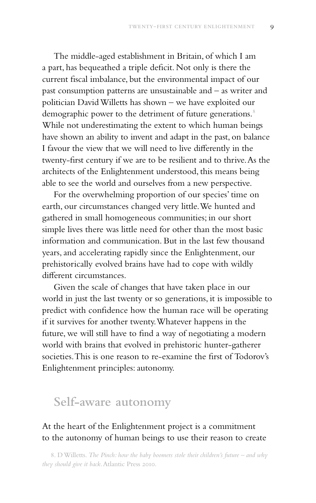The middle-aged establishment in Britain, of which I am a part, has bequeathed a triple deficit. Not only is there the current fiscal imbalance, but the environmental impact of our past consumption patterns are unsustainable and – as writer and politician David Willetts has shown – we have exploited our demographic power to the detriment of future generations.<sup>8</sup> While not underestimating the extent to which human beings have shown an ability to invent and adapt in the past, on balance I favour the view that we will need to live differently in the twenty-first century if we are to be resilient and to thrive. As the architects of the Enlightenment understood, this means being able to see the world and ourselves from a new perspective.

For the overwhelming proportion of our species' time on earth, our circumstances changed very little. We hunted and gathered in small homogeneous communities; in our short simple lives there was little need for other than the most basic information and communication. But in the last few thousand years, and accelerating rapidly since the Enlightenment, our prehistorically evolved brains have had to cope with wildly different circumstances.

Given the scale of changes that have taken place in our world in just the last twenty or so generations, it is impossible to predict with confidence how the human race will be operating if it survives for another twenty. Whatever happens in the future, we will still have to find a way of negotiating a modern world with brains that evolved in prehistoric hunter-gatherer societies. This is one reason to re-examine the first of Todorov's Enlightenment principles: autonomy.

### **Self-aware autonomy**

#### At the heart of the Enlightenment project is a commitment to the autonomy of human beings to use their reason to create

8. D Willetts. *The Pinch: how the baby boomers stole their children's future – and why they should give it back*. Atlantic Press 2010.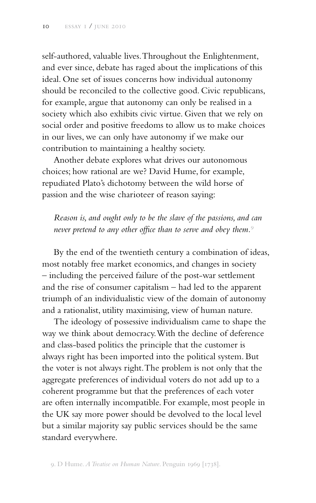self-authored, valuable lives. Throughout the Enlightenment, and ever since, debate has raged about the implications of this ideal. One set of issues concerns how individual autonomy should be reconciled to the collective good. Civic republicans, for example, argue that autonomy can only be realised in a society which also exhibits civic virtue. Given that we rely on social order and positive freedoms to allow us to make choices in our lives, we can only have autonomy if we make our contribution to maintaining a healthy society.

Another debate explores what drives our autonomous choices; how rational are we? David Hume, for example, repudiated Plato's dichotomy between the wild horse of passion and the wise charioteer of reason saying:

*Reason is, and ought only to be the slave of the passions, and can never pretend to any other office than to serve and obey them.*<sup>9</sup>

By the end of the twentieth century a combination of ideas, most notably free market economics, and changes in society – including the perceived failure of the post-war settlement and the rise of consumer capitalism – had led to the apparent triumph of an individualistic view of the domain of autonomy and a rationalist, utility maximising, view of human nature.

The ideology of possessive individualism came to shape the way we think about democracy. With the decline of deference and class-based politics the principle that the customer is always right has been imported into the political system. But the voter is not always right. The problem is not only that the aggregate preferences of individual voters do not add up to a coherent programme but that the preferences of each voter are often internally incompatible. For example, most people in the UK say more power should be devolved to the local level but a similar majority say public services should be the same standard everywhere.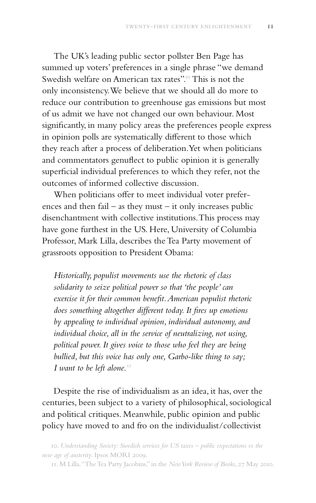The UK's leading public sector pollster Ben Page has summed up voters' preferences in a single phrase "we demand Swedish welfare on American tax rates".<sup>10</sup> This is not the only inconsistency. We believe that we should all do more to reduce our contribution to greenhouse gas emissions but most of us admit we have not changed our own behaviour. Most significantly, in many policy areas the preferences people express in opinion polls are systematically different to those which they reach after a process of deliberation. Yet when politicians and commentators genuflect to public opinion it is generally superficial individual preferences to which they refer, not the outcomes of informed collective discussion.

When politicians offer to meet individual voter preferences and then fail – as they must – it only increases public disenchantment with collective institutions. This process may have gone furthest in the US. Here, University of Columbia Professor, Mark Lilla, describes the Tea Party movement of grassroots opposition to President Obama:

*Historically, populist movements use the rhetoric of class solidarity to seize political power so that 'the people' can exercise it for their common benefit. American populist rhetoric does something altogether different today. It fires up emotions by appealing to individual opinion, individual autonomy, and individual choice, all in the service of neutralizing, not using, political power. It gives voice to those who feel they are being bullied, but this voice has only one, Garbo-like thing to say;*  I want to be left alone.<sup>11</sup>

Despite the rise of individualism as an idea, it has, over the centuries, been subject to a variety of philosophical, sociological and political critiques. Meanwhile, public opinion and public policy have moved to and fro on the individualist/collectivist

<sup>10.</sup> *Understanding Society: Swedish services for US taxes – public expectations vs the new age of austerity*. Ipsos MORI 2009.

<sup>11.</sup> M Lilla. "The Tea Party Jacobins," in the *New York Review of Books*, 27 May 2010.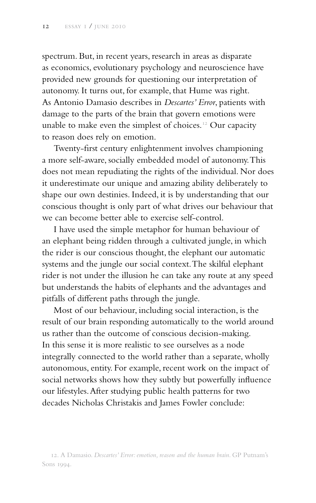spectrum. But, in recent years, research in areas as disparate as economics, evolutionary psychology and neuroscience have provided new grounds for questioning our interpretation of autonomy. It turns out, for example, that Hume was right. As Antonio Damasio describes in *Descartes' Error*, patients with damage to the parts of the brain that govern emotions were unable to make even the simplest of choices.<sup>12</sup> Our capacity to reason does rely on emotion.

Twenty-first century enlightenment involves championing a more self-aware, socially embedded model of autonomy. This does not mean repudiating the rights of the individual. Nor does it underestimate our unique and amazing ability deliberately to shape our own destinies. Indeed, it is by understanding that our conscious thought is only part of what drives our behaviour that we can become better able to exercise self-control.

I have used the simple metaphor for human behaviour of an elephant being ridden through a cultivated jungle, in which the rider is our conscious thought, the elephant our automatic systems and the jungle our social context. The skilful elephant rider is not under the illusion he can take any route at any speed but understands the habits of elephants and the advantages and pitfalls of different paths through the jungle.

Most of our behaviour, including social interaction, is the result of our brain responding automatically to the world around us rather than the outcome of conscious decision-making. In this sense it is more realistic to see ourselves as a node integrally connected to the world rather than a separate, wholly autonomous, entity. For example, recent work on the impact of social networks shows how they subtly but powerfully influence our lifestyles. After studying public health patterns for two decades Nicholas Christakis and James Fowler conclude:

<sup>12.</sup> A Damasio. *Descartes' Error: emotion, reason and the human brain*. GP Putnam's Sons 1994.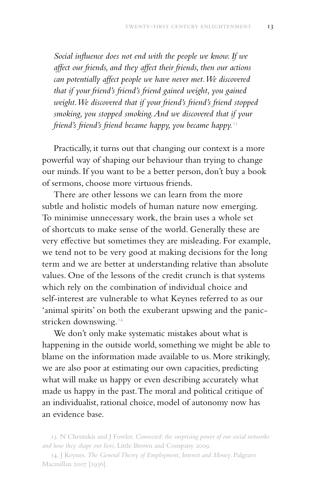*Social influence does not end with the people we know. If we affect our friends, and they affect their friends, then our actions can potentially affect people we have never met. We discovered that if your friend's friend's friend gained weight, you gained weight. We discovered that if your friend's friend's friend stopped smoking, you stopped smoking. And we discovered that if your friend's friend's friend became happy, you became happy.*<sup>13</sup>

Practically, it turns out that changing our context is a more powerful way of shaping our behaviour than trying to change our minds. If you want to be a better person, don't buy a book of sermons, choose more virtuous friends.

There are other lessons we can learn from the more subtle and holistic models of human nature now emerging. To minimise unnecessary work, the brain uses a whole set of shortcuts to make sense of the world. Generally these are very effective but sometimes they are misleading. For example, we tend not to be very good at making decisions for the long term and we are better at understanding relative than absolute values. One of the lessons of the credit crunch is that systems which rely on the combination of individual choice and self-interest are vulnerable to what Keynes referred to as our 'animal spirits' on both the exuberant upswing and the panicstricken downswing.<sup>14</sup>

We don't only make systematic mistakes about what is happening in the outside world, something we might be able to blame on the information made available to us. More strikingly, we are also poor at estimating our own capacities, predicting what will make us happy or even describing accurately what made us happy in the past. The moral and political critique of an individualist, rational choice, model of autonomy now has an evidence base.

<sup>13.</sup> N Christakis and J Fowler. *Connected: the surprising power of our social networks and how they shape our lives*. Little Brown and Company 2009.

<sup>14.</sup> J Keynes. *The General Theory of Employment, Interest and Money*. Palgrave Macmillan 2007 [1936].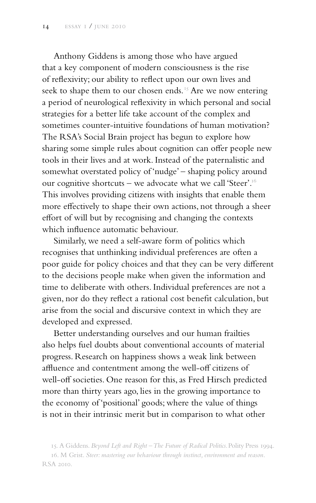Anthony Giddens is among those who have argued that a key component of modern consciousness is the rise of reflexivity; our ability to reflect upon our own lives and seek to shape them to our chosen ends.<sup>15</sup> Are we now entering a period of neurological reflexivity in which personal and social strategies for a better life take account of the complex and sometimes counter-intuitive foundations of human motivation? The RSA's Social Brain project has begun to explore how sharing some simple rules about cognition can offer people new tools in their lives and at work. Instead of the paternalistic and somewhat overstated policy of 'nudge' – shaping policy around our cognitive shortcuts – we advocate what we call 'Steer'.<sup>16</sup> This involves providing citizens with insights that enable them more effectively to shape their own actions, not through a sheer effort of will but by recognising and changing the contexts which influence automatic behaviour.

Similarly, we need a self-aware form of politics which recognises that unthinking individual preferences are often a poor guide for policy choices and that they can be very different to the decisions people make when given the information and time to deliberate with others. Individual preferences are not a given, nor do they reflect a rational cost benefit calculation, but arise from the social and discursive context in which they are developed and expressed.

Better understanding ourselves and our human frailties also helps fuel doubts about conventional accounts of material progress. Research on happiness shows a weak link between affluence and contentment among the well-off citizens of well-off societies. One reason for this, as Fred Hirsch predicted more than thirty years ago, lies in the growing importance to the economy of 'positional' goods; where the value of things is not in their intrinsic merit but in comparison to what other

<sup>15.</sup> A Giddens. *Beyond Left and Right – The Future of Radical Politics*. Polity Press 1994.

<sup>16.</sup> M Grist. *Steer: mastering our behaviour through instinct, environment and reason*. RSA 2010.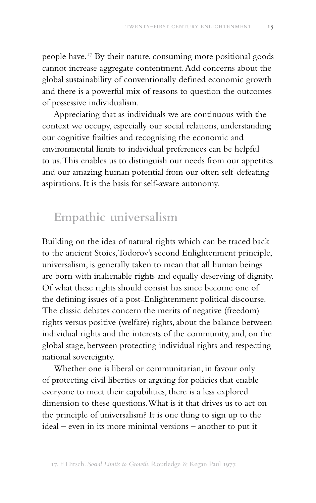people have.17 By their nature, consuming more positional goods cannot increase aggregate contentment. Add concerns about the global sustainability of conventionally defined economic growth and there is a powerful mix of reasons to question the outcomes of possessive individualism.

Appreciating that as individuals we are continuous with the context we occupy, especially our social relations, understanding our cognitive frailties and recognising the economic and environmental limits to individual preferences can be helpful to us. This enables us to distinguish our needs from our appetites and our amazing human potential from our often self-defeating aspirations. It is the basis for self-aware autonomy.

## **Empathic universalism**

Building on the idea of natural rights which can be traced back to the ancient Stoics, Todorov's second Enlightenment principle, universalism, is generally taken to mean that all human beings are born with inalienable rights and equally deserving of dignity. Of what these rights should consist has since become one of the defining issues of a post-Enlightenment political discourse. The classic debates concern the merits of negative (freedom) rights versus positive (welfare) rights, about the balance between individual rights and the interests of the community, and, on the global stage, between protecting individual rights and respecting national sovereignty.

Whether one is liberal or communitarian, in favour only of protecting civil liberties or arguing for policies that enable everyone to meet their capabilities, there is a less explored dimension to these questions. What is it that drives us to act on the principle of universalism? It is one thing to sign up to the ideal – even in its more minimal versions – another to put it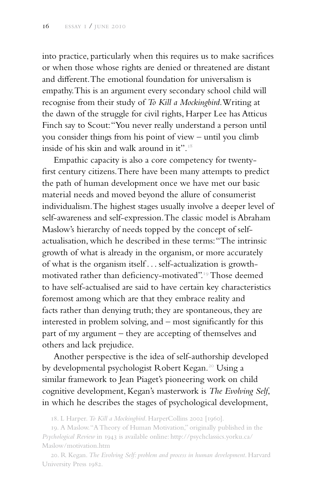into practice, particularly when this requires us to make sacrifices or when those whose rights are denied or threatened are distant and different. The emotional foundation for universalism is empathy. This is an argument every secondary school child will recognise from their study of *To Kill a Mockingbird*. Writing at the dawn of the struggle for civil rights, Harper Lee has Atticus Finch say to Scout: "You never really understand a person until you consider things from his point of view – until you climb inside of his skin and walk around in it".18

Empathic capacity is also a core competency for twentyfirst century citizens. There have been many attempts to predict the path of human development once we have met our basic material needs and moved beyond the allure of consumerist individualism. The highest stages usually involve a deeper level of self-awareness and self-expression. The classic model is Abraham Maslow's hierarchy of needs topped by the concept of selfactualisation, which he described in these terms: "The intrinsic growth of what is already in the organism, or more accurately of what is the organism itself . . . self-actualization is growthmotivated rather than deficiency-motivated".19 Those deemed to have self-actualised are said to have certain key characteristics foremost among which are that they embrace reality and facts rather than denying truth; they are spontaneous, they are interested in problem solving, and – most significantly for this part of my argument – they are accepting of themselves and others and lack prejudice.

Another perspective is the idea of self-authorship developed by developmental psychologist Robert Kegan.<sup>20</sup> Using a similar framework to Jean Piaget's pioneering work on child cognitive development, Kegan's masterwork is *The Evolving Self*, in which he describes the stages of psychological development,

18. L Harper. *To Kill a Mockingbird*. HarperCollins 2002 [1960].

19. A Maslow. "A Theory of Human Motivation," originally published in the *Psychological Review* in 1943 is available online: http://psychclassics.yorku.ca/ Maslow/motivation.htm

20. R Kegan. *The Evolving Self: problem and process in human development*. Harvard University Press 1982.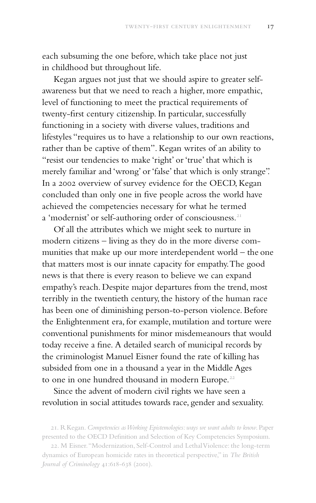each subsuming the one before, which take place not just in childhood but throughout life.

Kegan argues not just that we should aspire to greater selfawareness but that we need to reach a higher, more empathic, level of functioning to meet the practical requirements of twenty-first century citizenship. In particular, successfully functioning in a society with diverse values, traditions and lifestyles "requires us to have a relationship to our own reactions, rather than be captive of them". Kegan writes of an ability to "resist our tendencies to make 'right' or 'true' that which is merely familiar and 'wrong' or 'false' that which is only strange". In a 2002 overview of survey evidence for the OECD, Kegan concluded than only one in five people across the world have achieved the competencies necessary for what he termed a 'modernist' or self-authoring order of consciousness.<sup>21</sup>

Of all the attributes which we might seek to nurture in modern citizens – living as they do in the more diverse communities that make up our more interdependent world – the one that matters most is our innate capacity for empathy. The good news is that there is every reason to believe we can expand empathy's reach. Despite major departures from the trend, most terribly in the twentieth century, the history of the human race has been one of diminishing person-to-person violence. Before the Enlightenment era, for example, mutilation and torture were conventional punishments for minor misdemeanours that would today receive a fine. A detailed search of municipal records by the criminologist Manuel Eisner found the rate of killing has subsided from one in a thousand a year in the Middle Ages to one in one hundred thousand in modern Europe.<sup>22</sup>

Since the advent of modern civil rights we have seen a revolution in social attitudes towards race, gender and sexuality.

<sup>21.</sup> R Kegan. *Competencies as Working Epistemologies: ways we want adults to know*. Paper presented to the OECD Definition and Selection of Key Competencies Symposium.

<sup>22.</sup> M Eisner. "Modernization, Self-Control and Lethal Violence: the long-term dynamics of European homicide rates in theoretical perspective," in *The British Journal of Criminology* 41:618-638 (2001).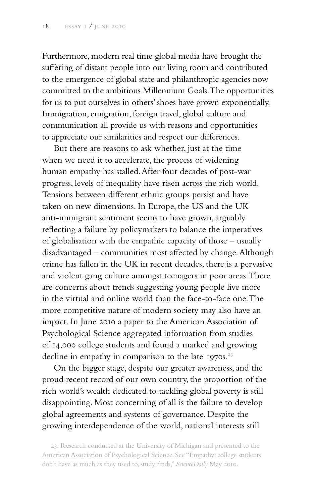Furthermore, modern real time global media have brought the suffering of distant people into our living room and contributed to the emergence of global state and philanthropic agencies now committed to the ambitious Millennium Goals. The opportunities for us to put ourselves in others' shoes have grown exponentially. Immigration, emigration, foreign travel, global culture and communication all provide us with reasons and opportunities to appreciate our similarities and respect our differences.

But there are reasons to ask whether, just at the time when we need it to accelerate, the process of widening human empathy has stalled. After four decades of post-war progress, levels of inequality have risen across the rich world. Tensions between different ethnic groups persist and have taken on new dimensions. In Europe, the US and the UK anti-immigrant sentiment seems to have grown, arguably reflecting a failure by policymakers to balance the imperatives of globalisation with the empathic capacity of those – usually disadvantaged – communities most affected by change. Although crime has fallen in the UK in recent decades, there is a pervasive and violent gang culture amongst teenagers in poor areas. There are concerns about trends suggesting young people live more in the virtual and online world than the face-to-face one. The more competitive nature of modern society may also have an impact. In June 2010 a paper to the American Association of Psychological Science aggregated information from studies of 14,000 college students and found a marked and growing decline in empathy in comparison to the late 1970s. $23$ 

On the bigger stage, despite our greater awareness, and the proud recent record of our own country, the proportion of the rich world's wealth dedicated to tackling global poverty is still disappointing. Most concerning of all is the failure to develop global agreements and systems of governance. Despite the growing interdependence of the world, national interests still

23. Research conducted at the University of Michigan and presented to the American Association of Psychological Science. See "Empathy: college students don't have as much as they used to, study finds," *ScienceDaily* May 2010.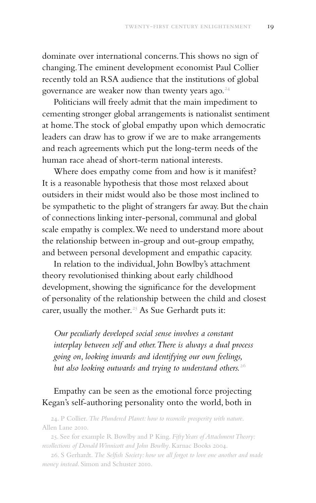dominate over international concerns. This shows no sign of changing. The eminent development economist Paul Collier recently told an RSA audience that the institutions of global governance are weaker now than twenty years ago.<sup>24</sup>

Politicians will freely admit that the main impediment to cementing stronger global arrangements is nationalist sentiment at home. The stock of global empathy upon which democratic leaders can draw has to grow if we are to make arrangements and reach agreements which put the long-term needs of the human race ahead of short-term national interests.

Where does empathy come from and how is it manifest? It is a reasonable hypothesis that those most relaxed about outsiders in their midst would also be those most inclined to be sympathetic to the plight of strangers far away. But the chain of connections linking inter-personal, communal and global scale empathy is complex. We need to understand more about the relationship between in-group and out-group empathy, and between personal development and empathic capacity.

In relation to the individual, John Bowlby's attachment theory revolutionised thinking about early childhood development, showing the significance for the development of personality of the relationship between the child and closest carer, usually the mother.<sup>25</sup> As Sue Gerhardt puts it:

*Our peculiarly developed social sense involves a constant interplay between self and other. There is always a dual process going on, looking inwards and identifying our own feelings, but also looking outwards and trying to understand others.*<sup>26</sup>

#### Empathy can be seen as the emotional force projecting Kegan's self-authoring personality onto the world, both in

24. P Collier. *The Plundered Planet: how to reconcile prosperity with nature*. Allen Lane 2010.

25. See for example R Bowlby and P King. *Fifty Years of Attachment Theory: recollections of Donald Winnicott and John Bowlby*. Karnac Books 2004.

26. S Gerhardt. *The Selfish Society: how we all forgot to love one another and made money instead*. Simon and Schuster 2010.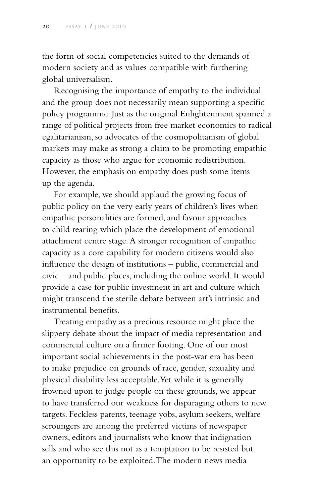the form of social competencies suited to the demands of modern society and as values compatible with furthering global universalism.

Recognising the importance of empathy to the individual and the group does not necessarily mean supporting a specific policy programme. Just as the original Enlightenment spanned a range of political projects from free market economics to radical egalitarianism, so advocates of the cosmopolitanism of global markets may make as strong a claim to be promoting empathic capacity as those who argue for economic redistribution. However, the emphasis on empathy does push some items up the agenda.

For example, we should applaud the growing focus of public policy on the very early years of children's lives when empathic personalities are formed, and favour approaches to child rearing which place the development of emotional attachment centre stage. A stronger recognition of empathic capacity as a core capability for modern citizens would also influence the design of institutions – public, commercial and civic – and public places, including the online world. It would provide a case for public investment in art and culture which might transcend the sterile debate between art's intrinsic and instrumental benefits.

Treating empathy as a precious resource might place the slippery debate about the impact of media representation and commercial culture on a firmer footing. One of our most important social achievements in the post-war era has been to make prejudice on grounds of race, gender, sexuality and physical disability less acceptable. Yet while it is generally frowned upon to judge people on these grounds, we appear to have transferred our weakness for disparaging others to new targets. Feckless parents, teenage yobs, asylum seekers, welfare scroungers are among the preferred victims of newspaper owners, editors and journalists who know that indignation sells and who see this not as a temptation to be resisted but an opportunity to be exploited. The modern news media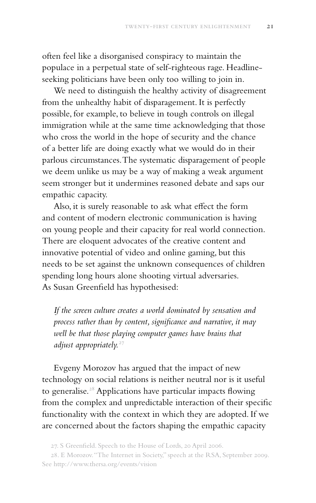often feel like a disorganised conspiracy to maintain the populace in a perpetual state of self-righteous rage. Headlineseeking politicians have been only too willing to join in.

We need to distinguish the healthy activity of disagreement from the unhealthy habit of disparagement. It is perfectly possible, for example, to believe in tough controls on illegal immigration while at the same time acknowledging that those who cross the world in the hope of security and the chance of a better life are doing exactly what we would do in their parlous circumstances. The systematic disparagement of people we deem unlike us may be a way of making a weak argument seem stronger but it undermines reasoned debate and saps our empathic capacity.

Also, it is surely reasonable to ask what effect the form and content of modern electronic communication is having on young people and their capacity for real world connection. There are eloquent advocates of the creative content and innovative potential of video and online gaming, but this needs to be set against the unknown consequences of children spending long hours alone shooting virtual adversaries. As Susan Greenfield has hypothesised:

*If the screen culture creates a world dominated by sensation and process rather than by content, significance and narrative, it may well be that those playing computer games have brains that*  adjust appropriately.<sup>27</sup>

Evgeny Morozov has argued that the impact of new technology on social relations is neither neutral nor is it useful to generalise.<sup>28</sup> Applications have particular impacts flowing from the complex and unpredictable interaction of their specific functionality with the context in which they are adopted. If we are concerned about the factors shaping the empathic capacity

<sup>27.</sup> S Greenfield. Speech to the House of Lords, 20 April 2006.

<sup>28.</sup> E Morozov. "The Internet in Society," speech at the RSA, September 2009. See http://www.thersa.org/events/vision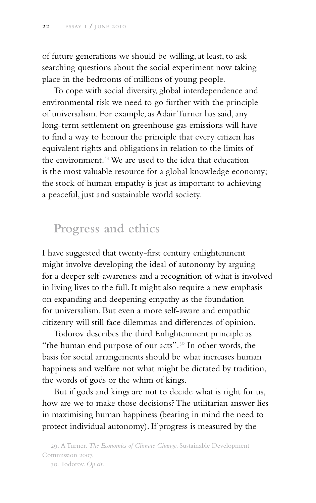of future generations we should be willing, at least, to ask searching questions about the social experiment now taking place in the bedrooms of millions of young people.

To cope with social diversity, global interdependence and environmental risk we need to go further with the principle of universalism. For example, as Adair Turner has said, any long-term settlement on greenhouse gas emissions will have to find a way to honour the principle that every citizen has equivalent rights and obligations in relation to the limits of the environment.<sup>29</sup> We are used to the idea that education is the most valuable resource for a global knowledge economy; the stock of human empathy is just as important to achieving a peaceful, just and sustainable world society.

## **Progress and ethics**

I have suggested that twenty-first century enlightenment might involve developing the ideal of autonomy by arguing for a deeper self-awareness and a recognition of what is involved in living lives to the full. It might also require a new emphasis on expanding and deepening empathy as the foundation for universalism. But even a more self-aware and empathic citizenry will still face dilemmas and differences of opinion.

Todorov describes the third Enlightenment principle as "the human end purpose of our acts".<sup>30</sup> In other words, the basis for social arrangements should be what increases human happiness and welfare not what might be dictated by tradition, the words of gods or the whim of kings.

But if gods and kings are not to decide what is right for us, how are we to make those decisions? The utilitarian answer lies in maximising human happiness (bearing in mind the need to protect individual autonomy). If progress is measured by the

29. A Turner. *The Economics of Climate Change*. Sustainable Development Commission 2007. 30. Todorov. *Op cit*.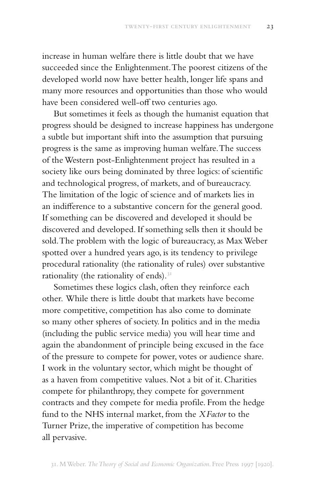increase in human welfare there is little doubt that we have succeeded since the Enlightenment. The poorest citizens of the developed world now have better health, longer life spans and many more resources and opportunities than those who would have been considered well-off two centuries ago.

But sometimes it feels as though the humanist equation that progress should be designed to increase happiness has undergone a subtle but important shift into the assumption that pursuing progress is the same as improving human welfare. The success of the Western post-Enlightenment project has resulted in a society like ours being dominated by three logics: of scientific and technological progress, of markets, and of bureaucracy. The limitation of the logic of science and of markets lies in an indifference to a substantive concern for the general good. If something can be discovered and developed it should be discovered and developed. If something sells then it should be sold. The problem with the logic of bureaucracy, as Max Weber spotted over a hundred years ago, is its tendency to privilege procedural rationality (the rationality of rules) over substantive rationality (the rationality of ends).<sup>31</sup>

Sometimes these logics clash, often they reinforce each other. While there is little doubt that markets have become more competitive, competition has also come to dominate so many other spheres of society. In politics and in the media (including the public service media) you will hear time and again the abandonment of principle being excused in the face of the pressure to compete for power, votes or audience share. I work in the voluntary sector, which might be thought of as a haven from competitive values. Not a bit of it. Charities compete for philanthropy, they compete for government contracts and they compete for media profile. From the hedge fund to the NHS internal market, from the *XFactor* to the Turner Prize, the imperative of competition has become all pervasive.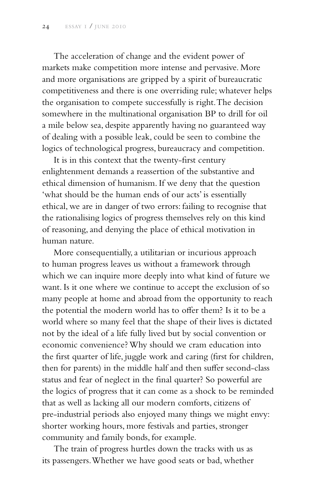The acceleration of change and the evident power of markets make competition more intense and pervasive. More and more organisations are gripped by a spirit of bureaucratic competitiveness and there is one overriding rule; whatever helps the organisation to compete successfully is right. The decision somewhere in the multinational organisation BP to drill for oil a mile below sea, despite apparently having no guaranteed way of dealing with a possible leak, could be seen to combine the logics of technological progress, bureaucracy and competition.

It is in this context that the twenty-first century enlightenment demands a reassertion of the substantive and ethical dimension of humanism. If we deny that the question 'what should be the human ends of our acts' is essentially ethical, we are in danger of two errors: failing to recognise that the rationalising logics of progress themselves rely on this kind of reasoning, and denying the place of ethical motivation in human nature.

More consequentially, a utilitarian or incurious approach to human progress leaves us without a framework through which we can inquire more deeply into what kind of future we want. Is it one where we continue to accept the exclusion of so many people at home and abroad from the opportunity to reach the potential the modern world has to offer them? Is it to be a world where so many feel that the shape of their lives is dictated not by the ideal of a life fully lived but by social convention or economic convenience? Why should we cram education into the first quarter of life, juggle work and caring (first for children, then for parents) in the middle half and then suffer second-class status and fear of neglect in the final quarter? So powerful are the logics of progress that it can come as a shock to be reminded that as well as lacking all our modern comforts, citizens of pre-industrial periods also enjoyed many things we might envy: shorter working hours, more festivals and parties, stronger community and family bonds, for example.

The train of progress hurtles down the tracks with us as its passengers. Whether we have good seats or bad, whether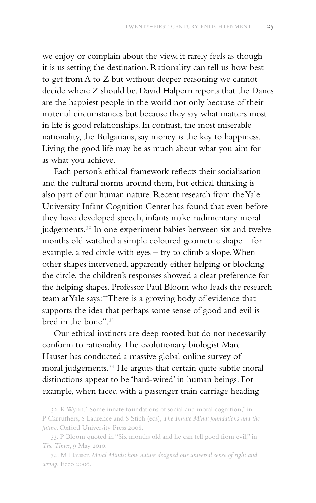we enjoy or complain about the view, it rarely feels as though it is us setting the destination. Rationality can tell us how best to get from A to Z but without deeper reasoning we cannot decide where Z should be. David Halpern reports that the Danes are the happiest people in the world not only because of their material circumstances but because they say what matters most in life is good relationships. In contrast, the most miserable nationality, the Bulgarians, say money is the key to happiness. Living the good life may be as much about what you aim for as what you achieve.

Each person's ethical framework reflects their socialisation and the cultural norms around them, but ethical thinking is also part of our human nature. Recent research from the Yale University Infant Cognition Center has found that even before they have developed speech, infants make rudimentary moral judgements.<sup>32</sup> In one experiment babies between six and twelve months old watched a simple coloured geometric shape – for example, a red circle with eyes – try to climb a slope. When other shapes intervened, apparently either helping or blocking the circle, the children's responses showed a clear preference for the helping shapes. Professor Paul Bloom who leads the research team at Yale says: "There is a growing body of evidence that supports the idea that perhaps some sense of good and evil is bred in the bone".33

Our ethical instincts are deep rooted but do not necessarily conform to rationality. The evolutionary biologist Marc Hauser has conducted a massive global online survey of moral judgements.34 He argues that certain quite subtle moral distinctions appear to be 'hard-wired' in human beings. For example, when faced with a passenger train carriage heading

32. K Wynn. "Some innate foundations of social and moral cognition," in P Carruthers, S Laurence and S Stich (eds), *The Innate Mind: foundations and the future*. Oxford University Press 2008.

33. P Bloom quoted in "Six months old and he can tell good from evil," in *The Times*, 9 May 2010.

34. M Hauser. *Moral Minds: how nature designed our universal sense of right and wrong*. Ecco 2006.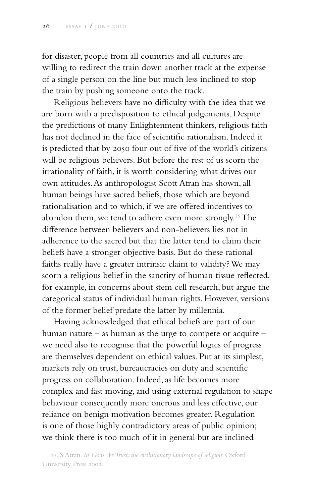for disaster, people from all countries and all cultures are willing to redirect the train down another track at the expense of a single person on the line but much less inclined to stop the train by pushing someone onto the track.

Religious believers have no difficulty with the idea that we are born with a predisposition to ethical judgements. Despite the predictions of many Enlightenment thinkers, religious faith has not declined in the face of scientific rationalism. Indeed it is predicted that by 2050 four out of five of the world's citizens will be religious believers. But before the rest of us scorn the irrationality of faith, it is worth considering what drives our own attitudes. As anthropologist Scott Atran has shown, all human beings have sacred beliefs, those which are beyond rationalisation and to which, if we are offered incentives to abandon them, we tend to adhere even more strongly.<sup>35</sup> The difference between believers and non-believers lies not in adherence to the sacred but that the latter tend to claim their beliefs have a stronger objective basis. But do these rational faiths really have a greater intrinsic claim to validity? We may scorn a religious belief in the sanctity of human tissue reflected, for example, in concerns about stem cell research, but argue the categorical status of individual human rights. However, versions of the former belief predate the latter by millennia.

Having acknowledged that ethical beliefs are part of our human nature – as human as the urge to compete or acquire – we need also to recognise that the powerful logics of progress are themselves dependent on ethical values. Put at its simplest, markets rely on trust, bureaucracies on duty and scientific progress on collaboration. Indeed, as life becomes more complex and fast moving, and using external regulation to shape behaviour consequently more onerous and less effective, our reliance on benign motivation becomes greater. Regulation is one of those highly contradictory areas of public opinion; we think there is too much of it in general but are inclined

35. S Atran. *In Gods We Trust: the evolutionary landscape of religion*. Oxford University Press 2002.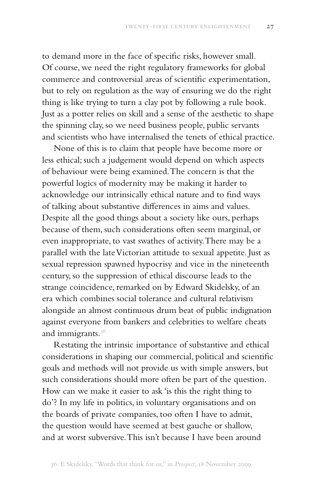to demand more in the face of specific risks, however small. Of course, we need the right regulatory frameworks for global commerce and controversial areas of scientific experimentation, but to rely on regulation as the way of ensuring we do the right thing is like trying to turn a clay pot by following a rule book. Just as a potter relies on skill and a sense of the aesthetic to shape the spinning clay, so we need business people, public servants and scientists who have internalised the tenets of ethical practice.

None of this is to claim that people have become more or less ethical; such a judgement would depend on which aspects of behaviour were being examined. The concern is that the powerful logics of modernity may be making it harder to acknowledge our intrinsically ethical nature and to find ways of talking about substantive differences in aims and values. Despite all the good things about a society like ours, perhaps because of them, such considerations often seem marginal, or even inappropriate, to vast swathes of activity. There may be a parallel with the late Victorian attitude to sexual appetite. Just as sexual repression spawned hypocrisy and vice in the nineteenth century, so the suppression of ethical discourse leads to the strange coincidence, remarked on by Edward Skidelsky, of an era which combines social tolerance and cultural relativism alongside an almost continuous drum beat of public indignation against everyone from bankers and celebrities to welfare cheats and immigrants.<sup>36</sup>

Restating the intrinsic importance of substantive and ethical considerations in shaping our commercial, political and scientific goals and methods will not provide us with simple answers, but such considerations should more often be part of the question. How can we make it easier to ask 'is this the right thing to do'? In my life in politics, in voluntary organisations and on the boards of private companies, too often I have to admit, the question would have seemed at best gauche or shallow, and at worst subversive. This isn't because I have been around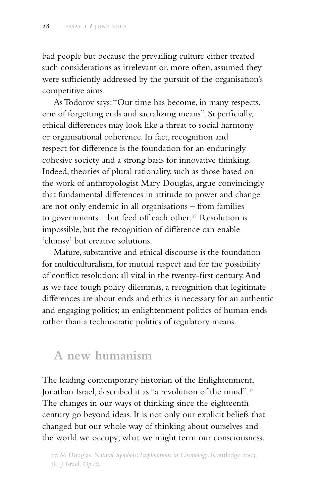bad people but because the prevailing culture either treated such considerations as irrelevant or, more often, assumed they were sufficiently addressed by the pursuit of the organisation's competitive aims.

As Todorov says: "Our time has become, in many respects, one of forgetting ends and sacralizing means". Superficially, ethical differences may look like a threat to social harmony or organisational coherence. In fact, recognition and respect for difference is the foundation for an enduringly cohesive society and a strong basis for innovative thinking. Indeed, theories of plural rationality, such as those based on the work of anthropologist Mary Douglas, argue convincingly that fundamental differences in attitude to power and change are not only endemic in all organisations – from families to governments  $-$  but feed off each other.<sup>37</sup> Resolution is impossible, but the recognition of difference can enable 'clumsy' but creative solutions.

Mature, substantive and ethical discourse is the foundation for multiculturalism, for mutual respect and for the possibility of conflict resolution; all vital in the twenty-first century. And as we face tough policy dilemmas, a recognition that legitimate differences are about ends and ethics is necessary for an authentic and engaging politics; an enlightenment politics of human ends rather than a technocratic politics of regulatory means.

## **A new humanism**

The leading contemporary historian of the Enlightenment, Jonathan Israel, described it as "a revolution of the mind".<sup>38</sup> The changes in our ways of thinking since the eighteenth century go beyond ideas. It is not only our explicit beliefs that changed but our whole way of thinking about ourselves and the world we occupy; what we might term our consciousness.

37. M Douglas. *Natural Symbols: Explorations in Cosmology*. Routledge 2003. 38. J Israel. *Op cit*.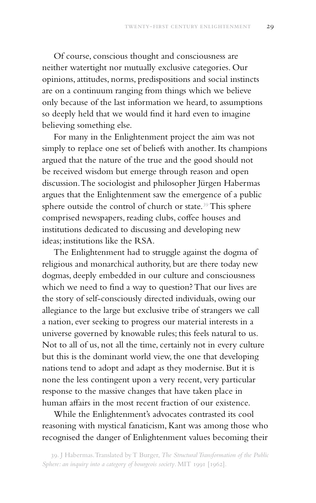Of course, conscious thought and consciousness are neither watertight nor mutually exclusive categories. Our opinions, attitudes, norms, predispositions and social instincts are on a continuum ranging from things which we believe only because of the last information we heard, to assumptions so deeply held that we would find it hard even to imagine believing something else.

For many in the Enlightenment project the aim was not simply to replace one set of beliefs with another. Its champions argued that the nature of the true and the good should not be received wisdom but emerge through reason and open discussion. The sociologist and philosopher Jürgen Habermas argues that the Enlightenment saw the emergence of a public sphere outside the control of church or state.<sup>39</sup> This sphere comprised newspapers, reading clubs, coffee houses and institutions dedicated to discussing and developing new ideas; institutions like the RSA.

The Enlightenment had to struggle against the dogma of religious and monarchical authority, but are there today new dogmas, deeply embedded in our culture and consciousness which we need to find a way to question? That our lives are the story of self-consciously directed individuals, owing our allegiance to the large but exclusive tribe of strangers we call a nation, ever seeking to progress our material interests in a universe governed by knowable rules; this feels natural to us. Not to all of us, not all the time, certainly not in every culture but this is the dominant world view, the one that developing nations tend to adopt and adapt as they modernise. But it is none the less contingent upon a very recent, very particular response to the massive changes that have taken place in human affairs in the most recent fraction of our existence.

While the Enlightenment's advocates contrasted its cool reasoning with mystical fanaticism, Kant was among those who recognised the danger of Enlightenment values becoming their

<sup>39.</sup> J Habermas. Translated by T Burger, *The Structural Transformation of the Public Sphere: an inquiry into a category of bourgeois society*. MIT 1991 [1962].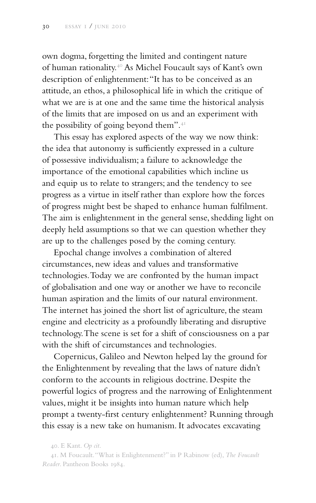own dogma, forgetting the limited and contingent nature of human rationality.40 As Michel Foucault says of Kant's own description of enlightenment: "It has to be conceived as an attitude, an ethos, a philosophical life in which the critique of what we are is at one and the same time the historical analysis of the limits that are imposed on us and an experiment with the possibility of going beyond them".<sup>41</sup>

This essay has explored aspects of the way we now think: the idea that autonomy is sufficiently expressed in a culture of possessive individualism; a failure to acknowledge the importance of the emotional capabilities which incline us and equip us to relate to strangers; and the tendency to see progress as a virtue in itself rather than explore how the forces of progress might best be shaped to enhance human fulfilment. The aim is enlightenment in the general sense, shedding light on deeply held assumptions so that we can question whether they are up to the challenges posed by the coming century.

Epochal change involves a combination of altered circumstances, new ideas and values and transformative technologies. Today we are confronted by the human impact of globalisation and one way or another we have to reconcile human aspiration and the limits of our natural environment. The internet has joined the short list of agriculture, the steam engine and electricity as a profoundly liberating and disruptive technology. The scene is set for a shift of consciousness on a par with the shift of circumstances and technologies.

Copernicus, Galileo and Newton helped lay the ground for the Enlightenment by revealing that the laws of nature didn't conform to the accounts in religious doctrine. Despite the powerful logics of progress and the narrowing of Enlightenment values, might it be insights into human nature which help prompt a twenty-first century enlightenment? Running through this essay is a new take on humanism. It advocates excavating

<sup>40.</sup> E Kant. *Op cit*.

<sup>41.</sup> M Foucault. "What is Enlightenment?" in P Rabinow (ed), *The Foucault Reader*. Pantheon Books 1984.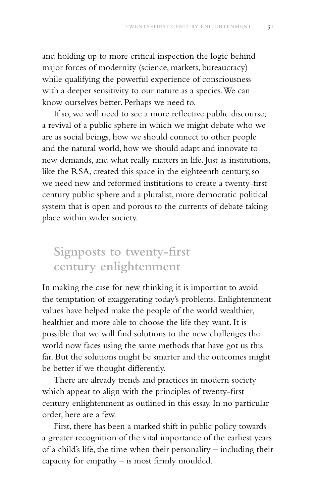and holding up to more critical inspection the logic behind major forces of modernity (science, markets, bureaucracy) while qualifying the powerful experience of consciousness with a deeper sensitivity to our nature as a species. We can know ourselves better. Perhaps we need to.

If so, we will need to see a more reflective public discourse; a revival of a public sphere in which we might debate who we are as social beings, how we should connect to other people and the natural world, how we should adapt and innovate to new demands, and what really matters in life. Just as institutions, like the RSA, created this space in the eighteenth century, so we need new and reformed institutions to create a twenty-first century public sphere and a pluralist, more democratic political system that is open and porous to the currents of debate taking place within wider society.

## **Signposts to twenty-first century enlightenment**

In making the case for new thinking it is important to avoid the temptation of exaggerating today's problems. Enlightenment values have helped make the people of the world wealthier, healthier and more able to choose the life they want. It is possible that we will find solutions to the new challenges the world now faces using the same methods that have got us this far. But the solutions might be smarter and the outcomes might be better if we thought differently.

There are already trends and practices in modern society which appear to align with the principles of twenty-first century enlightenment as outlined in this essay. In no particular order, here are a few.

First, there has been a marked shift in public policy towards a greater recognition of the vital importance of the earliest years of a child's life, the time when their personality – including their capacity for empathy – is most firmly moulded.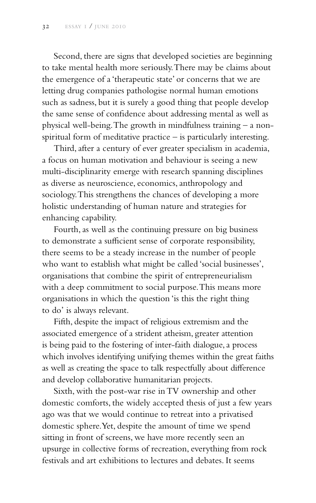Second, there are signs that developed societies are beginning to take mental health more seriously. There may be claims about the emergence of a 'therapeutic state' or concerns that we are letting drug companies pathologise normal human emotions such as sadness, but it is surely a good thing that people develop the same sense of confidence about addressing mental as well as physical well-being. The growth in mindfulness training – a nonspiritual form of meditative practice – is particularly interesting.

Third, after a century of ever greater specialism in academia, a focus on human motivation and behaviour is seeing a new multi-disciplinarity emerge with research spanning disciplines as diverse as neuroscience, economics, anthropology and sociology. This strengthens the chances of developing a more holistic understanding of human nature and strategies for enhancing capability.

Fourth, as well as the continuing pressure on big business to demonstrate a sufficient sense of corporate responsibility, there seems to be a steady increase in the number of people who want to establish what might be called 'social businesses', organisations that combine the spirit of entrepreneurialism with a deep commitment to social purpose. This means more organisations in which the question 'is this the right thing to do' is always relevant.

Fifth, despite the impact of religious extremism and the associated emergence of a strident atheism, greater attention is being paid to the fostering of inter-faith dialogue, a process which involves identifying unifying themes within the great faiths as well as creating the space to talk respectfully about difference and develop collaborative humanitarian projects.

Sixth, with the post-war rise in TV ownership and other domestic comforts, the widely accepted thesis of just a few years ago was that we would continue to retreat into a privatised domestic sphere. Yet, despite the amount of time we spend sitting in front of screens, we have more recently seen an upsurge in collective forms of recreation, everything from rock festivals and art exhibitions to lectures and debates. It seems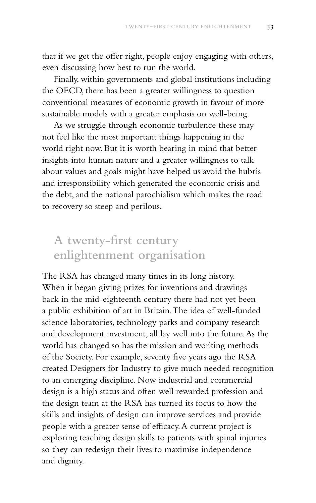that if we get the offer right, people enjoy engaging with others, even discussing how best to run the world.

Finally, within governments and global institutions including the OECD, there has been a greater willingness to question conventional measures of economic growth in favour of more sustainable models with a greater emphasis on well-being.

As we struggle through economic turbulence these may not feel like the most important things happening in the world right now. But it is worth bearing in mind that better insights into human nature and a greater willingness to talk about values and goals might have helped us avoid the hubris and irresponsibility which generated the economic crisis and the debt, and the national parochialism which makes the road to recovery so steep and perilous.

# **A twenty-first century enlightenment organisation**

The RSA has changed many times in its long history. When it began giving prizes for inventions and drawings back in the mid-eighteenth century there had not yet been a public exhibition of art in Britain. The idea of well-funded science laboratories, technology parks and company research and development investment, all lay well into the future. As the world has changed so has the mission and working methods of the Society. For example, seventy five years ago the RSA created Designers for Industry to give much needed recognition to an emerging discipline. Now industrial and commercial design is a high status and often well rewarded profession and the design team at the RSA has turned its focus to how the skills and insights of design can improve services and provide people with a greater sense of efficacy. A current project is exploring teaching design skills to patients with spinal injuries so they can redesign their lives to maximise independence and dignity.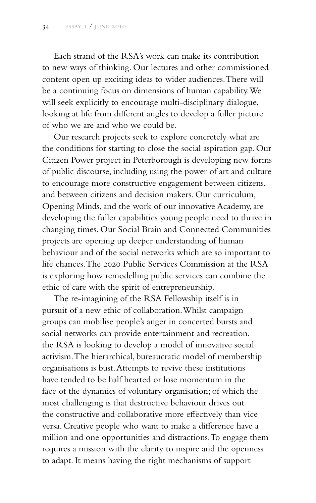Each strand of the RSA's work can make its contribution to new ways of thinking. Our lectures and other commissioned content open up exciting ideas to wider audiences. There will be a continuing focus on dimensions of human capability. We will seek explicitly to encourage multi-disciplinary dialogue, looking at life from different angles to develop a fuller picture of who we are and who we could be.

Our research projects seek to explore concretely what are the conditions for starting to close the social aspiration gap. Our Citizen Power project in Peterborough is developing new forms of public discourse, including using the power of art and culture to encourage more constructive engagement between citizens, and between citizens and decision makers. Our curriculum, Opening Minds, and the work of our innovative Academy, are developing the fuller capabilities young people need to thrive in changing times. Our Social Brain and Connected Communities projects are opening up deeper understanding of human behaviour and of the social networks which are so important to life chances. The 2020 Public Services Commission at the RSA is exploring how remodelling public services can combine the ethic of care with the spirit of entrepreneurship.

The re-imagining of the RSA Fellowship itself is in pursuit of a new ethic of collaboration. Whilst campaign groups can mobilise people's anger in concerted bursts and social networks can provide entertainment and recreation, the RSA is looking to develop a model of innovative social activism. The hierarchical, bureaucratic model of membership organisations is bust. Attempts to revive these institutions have tended to be half hearted or lose momentum in the face of the dynamics of voluntary organisation; of which the most challenging is that destructive behaviour drives out the constructive and collaborative more effectively than vice versa. Creative people who want to make a difference have a million and one opportunities and distractions. To engage them requires a mission with the clarity to inspire and the openness to adapt. It means having the right mechanisms of support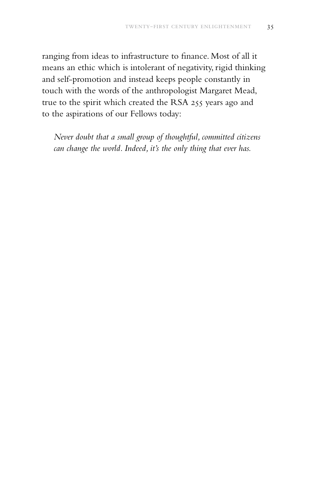ranging from ideas to infrastructure to finance. Most of all it means an ethic which is intolerant of negativity, rigid thinking and self-promotion and instead keeps people constantly in touch with the words of the anthropologist Margaret Mead, true to the spirit which created the RSA 255 years ago and to the aspirations of our Fellows today:

*Never doubt that a small group of thoughtful, committed citizens can change the world. Indeed, it's the only thing that ever has.*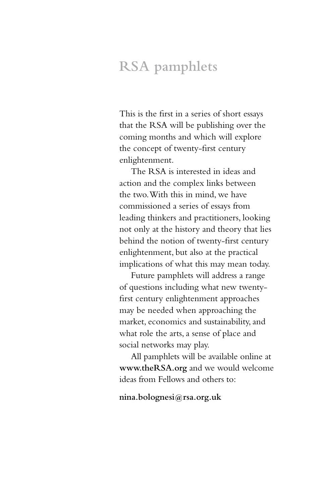# **RSA pamphlets**

This is the first in a series of short essays that the RSA will be publishing over the coming months and which will explore the concept of twenty-first century enlightenment.

The RSA is interested in ideas and action and the complex links between the two. With this in mind, we have commissioned a series of essays from leading thinkers and practitioners, looking not only at the history and theory that lies behind the notion of twenty-first century enlightenment, but also at the practical implications of what this may mean today.

Future pamphlets will address a range of questions including what new twentyfirst century enlightenment approaches may be needed when approaching the market, economics and sustainability, and what role the arts, a sense of place and social networks may play.

All pamphlets will be available online at **www.theRSA.org** and we would welcome ideas from Fellows and others to:

**nina.bolognesi@rsa.org.uk**